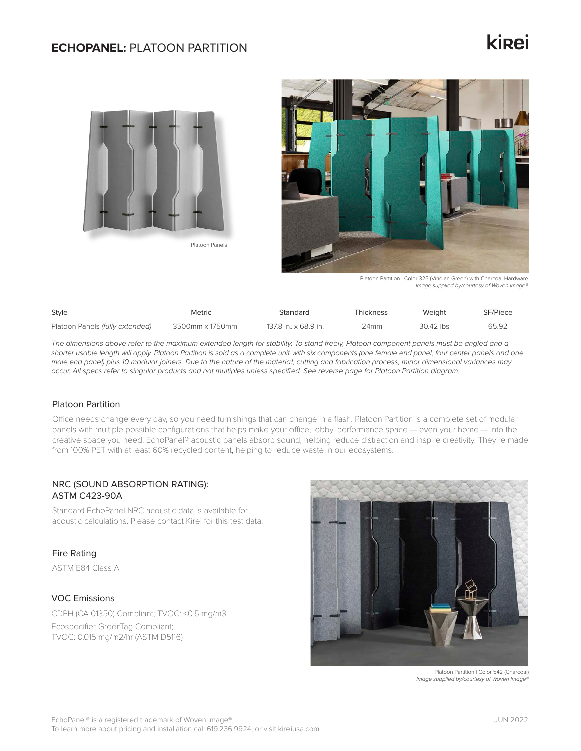## **ECHOPANEL:** PLATOON PARTITION

# **ki**<sub>ei</sub>



Platoon Panels



Platoon Partition | Color 325 (Viridian Green) with Charcoal Hardware *Image supplied by/courtesy of Woven Image®*

| Style                           | <b>Metric</b>   | Standard             | Thickness | Weiaht    | SF/Piece |
|---------------------------------|-----------------|----------------------|-----------|-----------|----------|
| Platoon Panels (fully extended) | 3500mm x 1750mm | 137.8 in. x 68.9 in. | 24mm      | 30.42 lbs | 65.92    |

*The dimensions above refer to the maximum extended length for stability. To stand freely, Platoon component panels must be angled and a*  shorter usable length will apply. Platoon Partition is sold as a complete unit with six components (one female end panel, four center panels and one *male end panel) plus 10 modular joiners. Due to the nature of the material, cutting and fabrication process, minor dimensional variances may occur. All specs refer to singular products and not multiples unless specified. See reverse page for Platoon Partition diagram.* 

## Platoon Partition

Office needs change every day, so you need furnishings that can change in a flash. Platoon Partition is a complete set of modular panels with multiple possible configurations that helps make your office, lobby, performance space — even your home — into the creative space you need. EchoPanel® acoustic panels absorb sound, helping reduce distraction and inspire creativity. They're made from 100% PET with at least 60% recycled content, helping to reduce waste in our ecosystems.

## NRC (SOUND ABSORPTION RATING): ASTM C423-90A

Standard EchoPanel NRC acoustic data is available for acoustic calculations. Please contact Kirei for this test data.

## Fire Rating

ASTM E84 Class A

## VOC Emissions

CDPH (CA 01350) Compliant; TVOC: <0.5 mg/m3 Ecospecifier GreenTag Compliant; TVOC: 0.015 mg/m2/hr (ASTM D5116)



Platoon Partition | Color 542 (Charcoal) *Image supplied by/courtesy of Woven Image®*